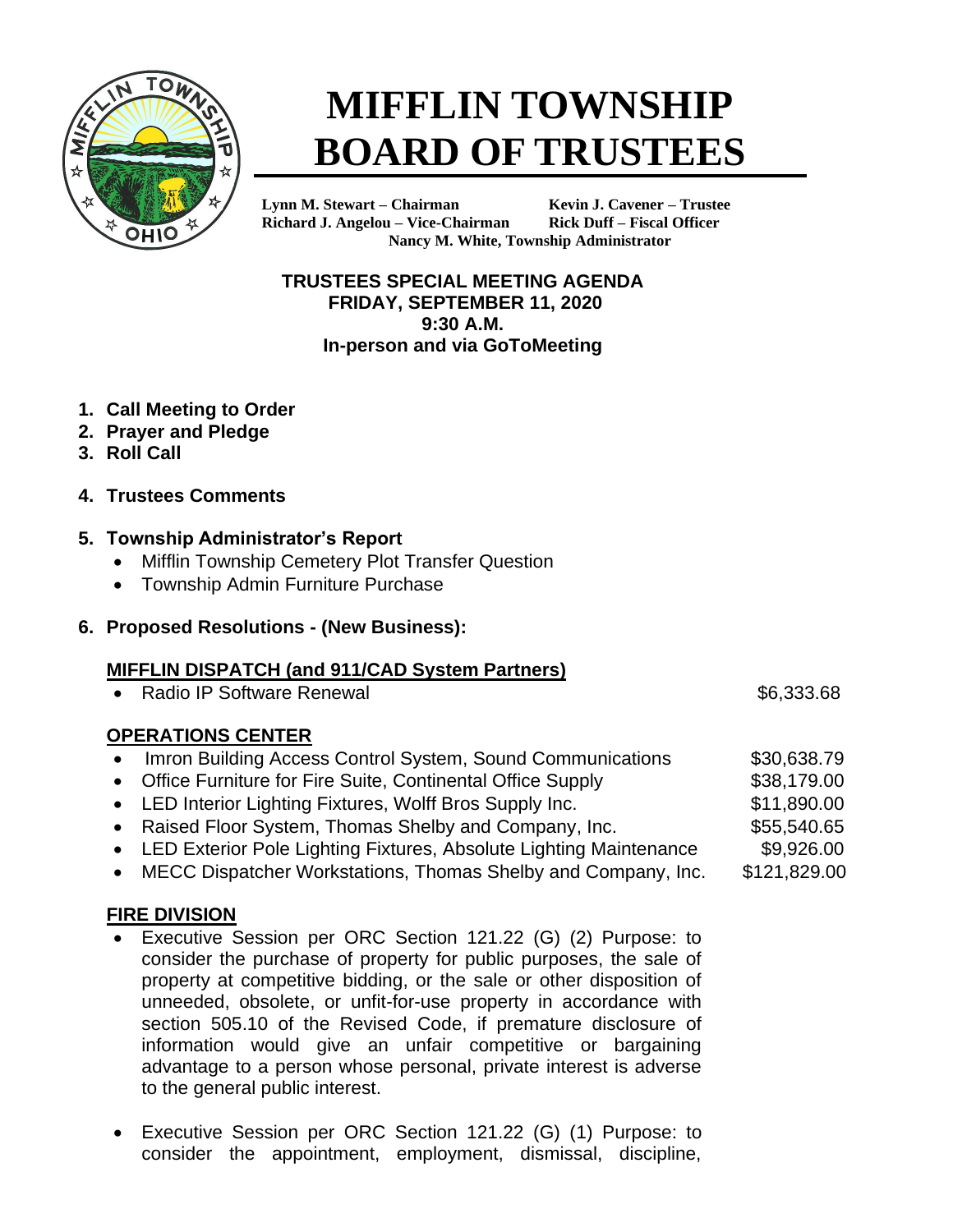

# **MIFFLIN TOWNSHIP BOARD OF TRUSTEES**

**Lynn M. Stewart – Chairman Kevin J. Cavener – Trustee Richard J. Angelou – Vice-Chairman Rick Duff – Fiscal Officer Nancy M. White, Township Administrator**

**TRUSTEES SPECIAL MEETING AGENDA FRIDAY, SEPTEMBER 11, 2020 9:30 A.M. In-person and via GoToMeeting**

- **1. Call Meeting to Order**
- **2. Prayer and Pledge**
- **3. Roll Call**
- **4. Trustees Comments**

## **5. Township Administrator's Report**

- Mifflin Township Cemetery Plot Transfer Question
- Township Admin Furniture Purchase

### **6. Proposed Resolutions - (New Business):**

#### **MIFFLIN DISPATCH (and 911/CAD System Partners)**

• Radio IP Software Renewal **\$6,333.68** 

## **OPERATIONS CENTER**

- Imron Building Access Control System, Sound Communications \$30,638.79 • Office Furniture for Fire Suite, Continental Office Supply \$38,179.00
- LED Interior Lighting Fixtures, Wolff Bros Supply Inc. \$11,890.00
- Raised Floor System, Thomas Shelby and Company, Inc.  $$55,540.65$
- LED Exterior Pole Lighting Fixtures, Absolute Lighting Maintenance \$9,926.00
- MECC Dispatcher Workstations, Thomas Shelby and Company, Inc. \$121,829.00

#### **FIRE DIVISION**

- Executive Session per ORC Section 121.22 (G) (2) Purpose: to consider the purchase of property for public purposes, the sale of property at competitive bidding, or the sale or other disposition of unneeded, obsolete, or unfit-for-use property in accordance with section 505.10 of the Revised Code, if premature disclosure of information would give an unfair competitive or bargaining advantage to a person whose personal, private interest is adverse to the general public interest.
- Executive Session per ORC Section 121.22 (G) (1) Purpose: to consider the appointment, employment, dismissal, discipline,